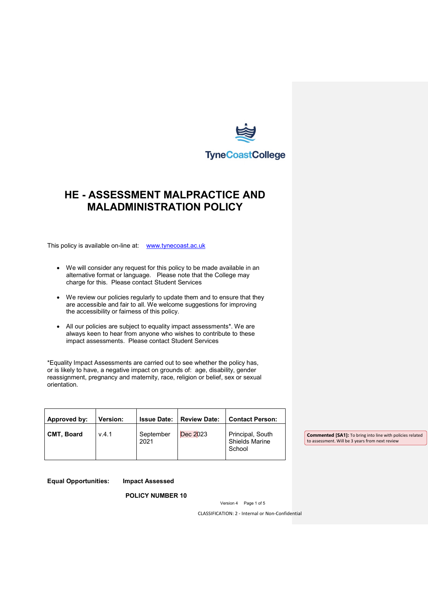

# **HE - ASSESSMENT MALPRACTICE AND MALADMINISTRATION POLICY**

This policy is available on-line at: [www.tynecoast.ac.uk](http://www.tynecoast.ac.uk/)

- We will consider any request for this policy to be made available in an alternative format or language. Please note that the College may charge for this. Please contact Student Services
- We review our policies regularly to update them and to ensure that they are accessible and fair to all. We welcome suggestions for improving the accessibility or fairness of this policy.
- All our policies are subject to equality impact assessments\*. We are always keen to hear from anyone who wishes to contribute to these impact assessments. Please contact Student Services

\*Equality Impact Assessments are carried out to see whether the policy has, or is likely to have, a negative impact on grounds of: age, disability, gender reassignment, pregnancy and maternity, race, religion or belief, sex or sexual orientation.

| Approved by:      | <b>Version:</b><br><b>Issue Date:</b> | <b>Review Date:</b> | <b>Contact Person:</b>                    |
|-------------------|---------------------------------------|---------------------|-------------------------------------------|
| <b>CMT. Board</b> | V.4.1<br>September<br>2021            | Dec 2023<br>School  | Principal, South<br><b>Shields Marine</b> |

**Equal Opportunities: Impact Assessed**

**POLICY NUMBER 10**

Version 4 Page 1 of 5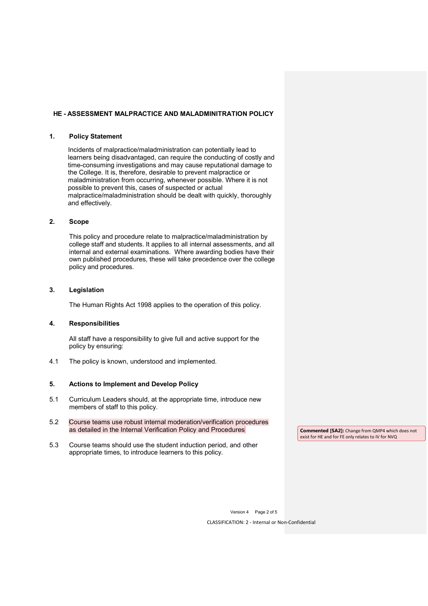#### **HE - ASSESSMENT MALPRACTICE AND MALADMINITRATION POLICY**

#### **1. Policy Statement**

Incidents of malpractice/maladministration can potentially lead to learners being disadvantaged, can require the conducting of costly and time-consuming investigations and may cause reputational damage to the College. It is, therefore, desirable to prevent malpractice or maladministration from occurring, whenever possible. Where it is not possible to prevent this, cases of suspected or actual malpractice/maladministration should be dealt with quickly, thoroughly and effectively.

# **2. Scope**

This policy and procedure relate to malpractice/maladministration by college staff and students. It applies to all internal assessments, and all internal and external examinations. Where awarding bodies have their own published procedures, these will take precedence over the college policy and procedures.

## **3. Legislation**

The Human Rights Act 1998 applies to the operation of this policy.

#### **4. Responsibilities**

All staff have a responsibility to give full and active support for the policy by ensuring:

4.1 The policy is known, understood and implemented.

#### **5. Actions to Implement and Develop Policy**

- 5.1 Curriculum Leaders should, at the appropriate time, introduce new members of staff to this policy.
- 5.2 Course teams use robust internal moderation/verification procedures as detailed in the Internal Verification Policy and Procedures
- 5.3 Course teams should use the student induction period, and other appropriate times, to introduce learners to this policy.

**Commented [SA2]:** Change from QMP4 which does not exist for HE and for FE only relates to IV for NVQ

Version 4 Page 2 of 5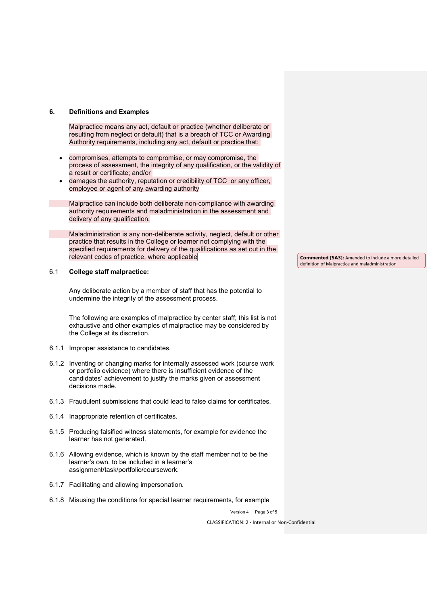#### **6. Definitions and Examples**

Malpractice means any act, default or practice (whether deliberate or resulting from neglect or default) that is a breach of TCC or Awarding Authority requirements, including any act, default or practice that:

- compromises, attempts to compromise, or may compromise, the process of assessment, the integrity of any qualification, or the validity of a result or certificate; and/or
- damages the authority, reputation or credibility of TCC or any officer, employee or agent of any awarding authority

Malpractice can include both deliberate non-compliance with awarding authority requirements and maladministration in the assessment and delivery of any qualification.

Maladministration is any non-deliberate activity, neglect, default or other practice that results in the College or learner not complying with the specified requirements for delivery of the qualifications as set out in the relevant codes of practice, where applicable

### 6.1 **College staff malpractice:**

Any deliberate action by a member of staff that has the potential to undermine the integrity of the assessment process.

The following are examples of malpractice by center staff; this list is not exhaustive and other examples of malpractice may be considered by the College at its discretion.

- 6.1.1 Improper assistance to candidates.
- 6.1.2 Inventing or changing marks for internally assessed work (course work or portfolio evidence) where there is insufficient evidence of the candidates' achievement to justify the marks given or assessment decisions made.
- 6.1.3 Fraudulent submissions that could lead to false claims for certificates.
- 6.1.4 Inappropriate retention of certificates.
- 6.1.5 Producing falsified witness statements, for example for evidence the learner has not generated.
- 6.1.6 Allowing evidence, which is known by the staff member not to be the learner's own, to be included in a learner's assignment/task/portfolio/coursework.
- 6.1.7 Facilitating and allowing impersonation.
- 6.1.8 Misusing the conditions for special learner requirements, for example

Version 4 Page 3 of 5

CLASSIFICATION: 2 - Internal or Non-Confidential

**Commented [SA3]:** Amended to include a more detailed definition of Malpractice and maladministration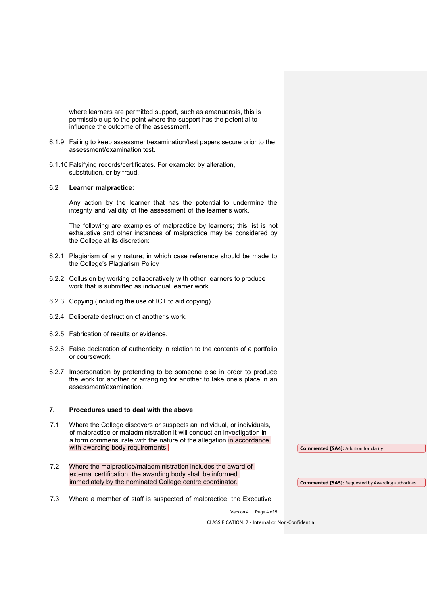where learners are permitted support, such as amanuensis, this is permissible up to the point where the support has the potential to influence the outcome of the assessment.

- 6.1.9 Failing to keep assessment/examination/test papers secure prior to the assessment/examination test.
- 6.1.10 Falsifying records/certificates. For example: by alteration, substitution, or by fraud.

#### 6.2 **Learner malpractice**:

Any action by the learner that has the potential to undermine the integrity and validity of the assessment of the learner's work.

The following are examples of malpractice by learners; this list is not exhaustive and other instances of malpractice may be considered by the College at its discretion:

- 6.2.1 Plagiarism of any nature; in which case reference should be made to the College's Plagiarism Policy
- 6.2.2 Collusion by working collaboratively with other learners to produce work that is submitted as individual learner work.
- 6.2.3 Copying (including the use of ICT to aid copying).
- 6.2.4 Deliberate destruction of another's work.
- 6.2.5 Fabrication of results or evidence.
- 6.2.6 False declaration of authenticity in relation to the contents of a portfolio or coursework
- 6.2.7 Impersonation by pretending to be someone else in order to produce the work for another or arranging for another to take one's place in an assessment/examination.

#### **7. Procedures used to deal with the above**

- 7.1 Where the College discovers or suspects an individual, or individuals, of malpractice or maladministration it will conduct an investigation in a form commensurate with the nature of the allegation in accordance with awarding body requirements.
- 7.2 Where the malpractice/maladministration includes the award of external certification, the awarding body shall be informed immediately by the nominated College centre coordinator.

**Commented [SA4]:** Addition for clarity

- **Commented [SA5]:** Requested by Awarding authorities
- 7.3 Where a member of staff is suspected of malpractice, the Executive

Version 4 Page 4 of 5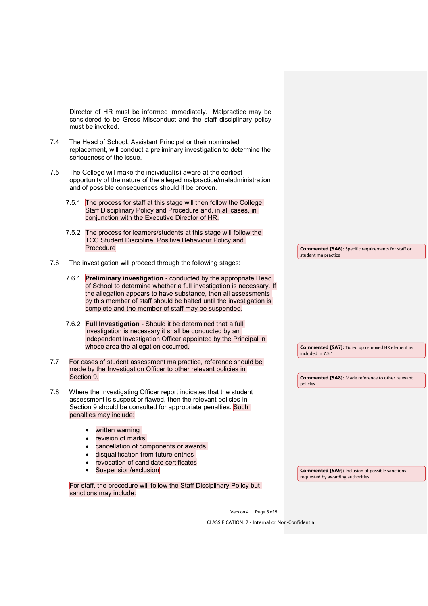Director of HR must be informed immediately. Malpractice may be considered to be Gross Misconduct and the staff disciplinary policy must be invoked.

- 7.4 The Head of School, Assistant Principal or their nominated replacement, will conduct a preliminary investigation to determine the seriousness of the issue.
- 7.5 The College will make the individual(s) aware at the earliest opportunity of the nature of the alleged malpractice/maladministration and of possible consequences should it be proven.
	- 7.5.1 The process for staff at this stage will then follow the College Staff Disciplinary Policy and Procedure and, in all cases, in conjunction with the Executive Director of HR.
	- 7.5.2 The process for learners/students at this stage will follow the TCC Student Discipline, Positive Behaviour Policy and **Procedure**
- 7.6 The investigation will proceed through the following stages:
	- 7.6.1 **Preliminary investigation** conducted by the appropriate Head of School to determine whether a full investigation is necessary. If the allegation appears to have substance, then all assessments by this member of staff should be halted until the investigation is complete and the member of staff may be suspended.
	- 7.6.2 **Full Investigation** Should it be determined that a full investigation is necessary it shall be conducted by an independent Investigation Officer appointed by the Principal in whose area the allegation occurred.
- 7.7 For cases of student assessment malpractice, reference should be made by the Investigation Officer to other relevant policies in Section 9.
- 7.8 Where the Investigating Officer report indicates that the student assessment is suspect or flawed, then the relevant policies in Section 9 should be consulted for appropriate penalties. Such penalties may include:
	- written warning
	- revision of marks
	- cancellation of components or awards
	- disqualification from future entries
	- revocation of candidate certificates
	- Suspension/exclusion

For staff, the procedure will follow the Staff Disciplinary Policy but sanctions may include:

**Commented [SA7]:** Tidied up removed HR element as included in 7.5.1

**Commented [SA6]:** Specific requirements for staff or

student malpractice

**Commented [SA8]:** Made reference to other relevant policies

**Commented [SA9]:** Inclusion of possible sanctions – requested by awarding authorities

Version 4 Page 5 of 5